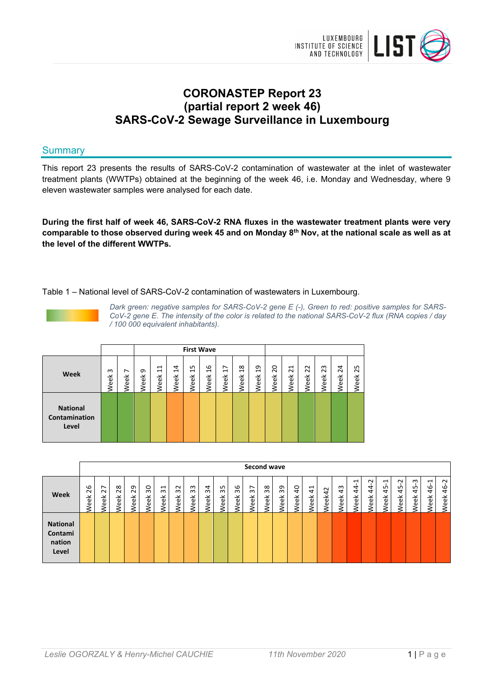

# **CORONASTEP Report 23 (partial report 2 week 46) SARS-CoV-2 Sewage Surveillance in Luxembourg**

# **Summary**

This report 23 presents the results of SARS-CoV-2 contamination of wastewater at the inlet of wastewater treatment plants (WWTPs) obtained at the beginning of the week 46, i.e. Monday and Wednesday, where 9 eleven wastewater samples were analysed for each date.

**During the first half of week 46, SARS-CoV-2 RNA fluxes in the wastewater treatment plants were very comparable to those observed during week 45 and on Monday 8th Nov, at the national scale as well as at the level of the different WWTPs.**

### Table 1 – National level of SARS-CoV-2 contamination of wastewaters in Luxembourg.



*Dark green: negative samples for SARS-CoV-2 gene E (-), Green to red: positive samples for SARS-CoV-2 gene E. The intensity of the color is related to the national SARS-CoV-2 flux (RNA copies / day / 100 000 equivalent inhabitants).*

|                                           |                  |             |          |                             |                   | <b>First Wave</b>                  |                        |                                    |                                |                                    |           |                       |                                                    |                    |                         |                           |
|-------------------------------------------|------------------|-------------|----------|-----------------------------|-------------------|------------------------------------|------------------------|------------------------------------|--------------------------------|------------------------------------|-----------|-----------------------|----------------------------------------------------|--------------------|-------------------------|---------------------------|
| Week                                      | ന<br><b>Veek</b> | ∼<br>⊻<br>ළ | თ<br>eek | $\overline{11}$<br>eek<br>≷ | 14<br><b>Week</b> | ഗ<br>$\mathbf{\mathbf{d}}$<br>Week | G<br>$\bar{ }$<br>Week | ∼<br>$\mathbf{\mathbf{d}}$<br>Week | $\infty$<br>$\ddot{ }$<br>Week | თ<br>$\mathbf{\mathbf{H}}$<br>Week | 20<br>eek | H<br>$\sim$<br>⊻<br>ස | $\sim$<br>$\overline{\mathbf{N}}$<br>⊻<br><u>କ</u> | m<br>$\sim$<br>eek | $\overline{24}$<br>Week | ഗ<br>$\mathbf{a}$<br>Week |
| <b>National</b><br>Contamination<br>Level |                  |             |          |                             |                   |                                    |                        |                                    |                                |                                    |           |                       |                                                    |                    |                         |                           |

|                                               |                   |            |                   |            |                   |                                                    |            |                            |            |                            |            |            | Second wave |                   |                         |                        |        |                   |                       |                            |                                        |                             |                         |                                                |                      |
|-----------------------------------------------|-------------------|------------|-------------------|------------|-------------------|----------------------------------------------------|------------|----------------------------|------------|----------------------------|------------|------------|-------------|-------------------|-------------------------|------------------------|--------|-------------------|-----------------------|----------------------------|----------------------------------------|-----------------------------|-------------------------|------------------------------------------------|----------------------|
| Week                                          | 26<br><b>Week</b> | 27<br>Week | 28<br><b>Neek</b> | 29<br>Week | SO<br><b>Veek</b> | $\mathbf{\overline{u}}$<br>$\omega$<br><b>Week</b> | 32<br>Week | m<br>$\sim$<br><b>Week</b> | 34<br>Week | m<br>$\sim$<br><b>Neek</b> | 36<br>Week | 57<br>Week | 38<br>Week  | 39<br><b>Neek</b> | $\theta$<br><b>Week</b> | $\overline{4}$<br>Week | Neek42 | 43<br><b>Neek</b> | ⊣<br>4<br><b>Neek</b> | ี<br>4<br>4<br><b>Week</b> | $\overline{\phantom{0}}$<br>45<br>Week | $\sim$<br>45<br><b>Week</b> | m<br>$\ddot{4}$<br>Week | $\overline{ }$<br>$\frac{6}{4}$<br><b>Neek</b> | $\sim$<br>\$<br>Week |
| <b>National</b><br>Contami<br>nation<br>Level |                   |            |                   |            |                   |                                                    |            |                            |            |                            |            |            |             |                   |                         |                        |        |                   |                       |                            |                                        |                             |                         |                                                |                      |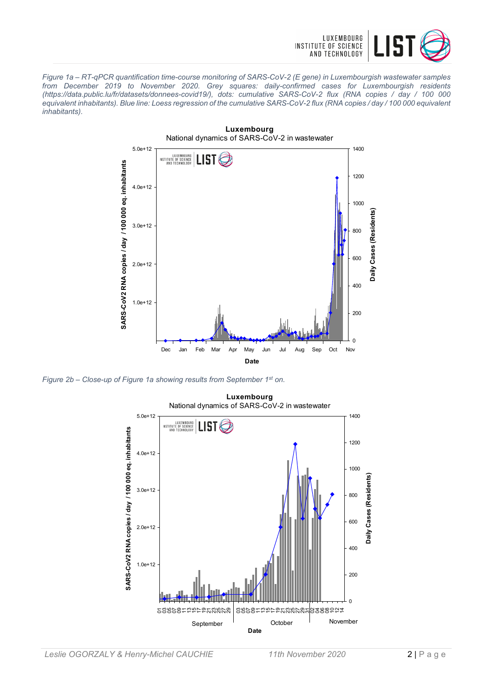

*Figure 1a – RT-qPCR quantification time-course monitoring of SARS-CoV-2 (E gene) in Luxembourgish wastewater samples from December 2019 to November 2020. Grey squares: daily-confirmed cases for Luxembourgish residents (https://data.public.lu/fr/datasets/donnees-covid19/), dots: cumulative SARS-CoV-2 flux (RNA copies / day / 100 000 equivalent inhabitants). Blue line: Loess regression of the cumulative SARS-CoV-2 flux (RNA copies / day / 100 000 equivalent inhabitants).*



*Figure 2b – Close-up of Figure 1a showing results from September 1st on.*

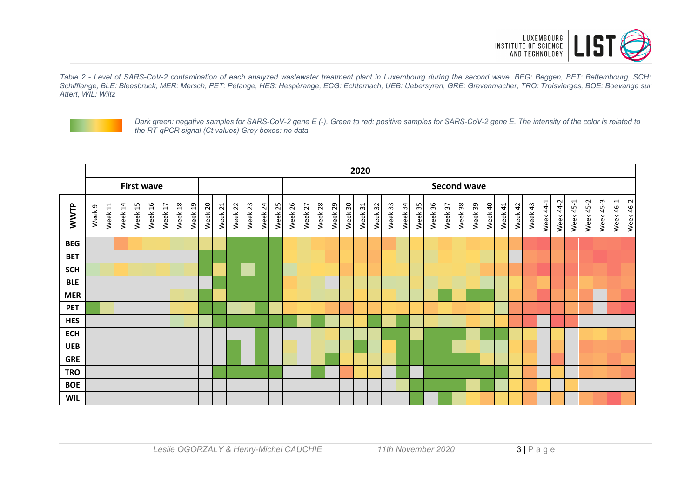

*Table 2 - Level of SARS-CoV-2 contamination of each analyzed wastewater treatment plant in Luxembourg during the second wave. BEG: Beggen, BET: Bettembourg, SCH: Schifflange, BLE: Bleesbruck, MER: Mersch, PET: Pétange, HES: Hespèrange, ECG: Echternach, UEB: Uebersyren, GRE: Grevenmacher, TRO: Troisvierges, BOE: Boevange sur Attert, WIL: Wiltz*



*Dark green: negative samples for SARS-CoV-2 gene E (-), Green to red: positive samples for SARS-CoV-2 gene E. The intensity of the color is related to the RT-qPCR signal (Ct values) Grey boxes: no data*

|            |        |                    |         |                   |         |         |         |         |         |             |         |         |         |         |                    |         |         |         |         | 2020    |         |            |         |         |         |                    |         |         |         |         |         |         |           |              |           |                  |           |           |           |
|------------|--------|--------------------|---------|-------------------|---------|---------|---------|---------|---------|-------------|---------|---------|---------|---------|--------------------|---------|---------|---------|---------|---------|---------|------------|---------|---------|---------|--------------------|---------|---------|---------|---------|---------|---------|-----------|--------------|-----------|------------------|-----------|-----------|-----------|
|            |        |                    |         | <b>First wave</b> |         |         |         |         |         |             |         |         |         |         |                    |         |         |         |         |         |         |            |         |         |         | <b>Second wave</b> |         |         |         |         |         |         |           |              |           |                  |           |           |           |
| WWTP       | Week 9 | Week <sub>11</sub> | Week 14 | 15<br>Week        | Week 16 | Week 17 | Week 18 | Week 19 | Week 20 | 21<br>Week: | Week 22 | Week 23 | Week 24 | Week 25 | Week <sub>26</sub> | Week 27 | Week 28 | Week 29 | Week 30 | Week 31 | Week 32 | 33<br>Week | Week 34 | Week 35 | Week 36 | Week 37            | Week 38 | Week 39 | Week 40 | Week 41 | Week 42 | Week 43 | Week 44-1 | 44-2<br>Week | Week 45-1 | <b>Week 45-2</b> | Week 45-3 | Week 46-1 | Week 46-2 |
| <b>BEG</b> |        |                    |         |                   |         |         |         |         |         |             |         |         |         |         |                    |         |         |         |         |         |         |            |         |         |         |                    |         |         |         |         |         |         |           |              |           |                  |           |           |           |
| <b>BET</b> |        |                    |         |                   |         |         |         |         |         |             |         |         |         |         |                    |         |         |         |         |         |         |            |         |         |         |                    |         |         |         |         |         |         |           |              |           |                  |           |           |           |
| <b>SCH</b> |        |                    |         |                   |         |         |         |         |         |             |         |         |         |         |                    |         |         |         |         |         |         |            |         |         |         |                    |         |         |         |         |         |         |           |              |           |                  |           |           |           |
| <b>BLE</b> |        |                    |         |                   |         |         |         |         |         |             |         |         |         |         |                    |         |         |         |         |         |         |            |         |         |         |                    |         |         |         |         |         |         |           |              |           |                  |           |           |           |
| <b>MER</b> |        |                    |         |                   |         |         |         |         |         |             |         |         |         |         |                    |         |         |         |         |         |         |            |         |         |         |                    |         |         |         |         |         |         |           |              |           |                  |           |           |           |
| <b>PET</b> |        |                    |         |                   |         |         |         |         |         |             |         |         |         |         |                    |         |         |         |         |         |         |            |         |         |         |                    |         |         |         |         |         |         |           |              |           |                  |           |           |           |
| <b>HES</b> |        |                    |         |                   |         |         |         |         |         |             |         |         |         |         |                    |         |         |         |         |         |         |            |         |         |         |                    |         |         |         |         |         |         |           |              |           |                  |           |           |           |
| <b>ECH</b> |        |                    |         |                   |         |         |         |         |         |             |         |         |         |         |                    |         |         |         |         |         |         |            |         |         |         |                    |         |         |         |         |         |         |           |              |           |                  |           |           |           |
| <b>UEB</b> |        |                    |         |                   |         |         |         |         |         |             |         |         |         |         |                    |         |         |         |         |         |         |            |         |         |         |                    |         |         |         |         |         |         |           |              |           |                  |           |           |           |
| <b>GRE</b> |        |                    |         |                   |         |         |         |         |         |             |         |         |         |         |                    |         |         |         |         |         |         |            |         |         |         |                    |         |         |         |         |         |         |           |              |           |                  |           |           |           |
| <b>TRO</b> |        |                    |         |                   |         |         |         |         |         |             |         |         |         |         |                    |         |         |         |         |         |         |            |         |         |         |                    |         |         |         |         |         |         |           |              |           |                  |           |           |           |
| <b>BOE</b> |        |                    |         |                   |         |         |         |         |         |             |         |         |         |         |                    |         |         |         |         |         |         |            |         |         |         |                    |         |         |         |         |         |         |           |              |           |                  |           |           |           |
| <b>WIL</b> |        |                    |         |                   |         |         |         |         |         |             |         |         |         |         |                    |         |         |         |         |         |         |            |         |         |         |                    |         |         |         |         |         |         |           |              |           |                  |           |           |           |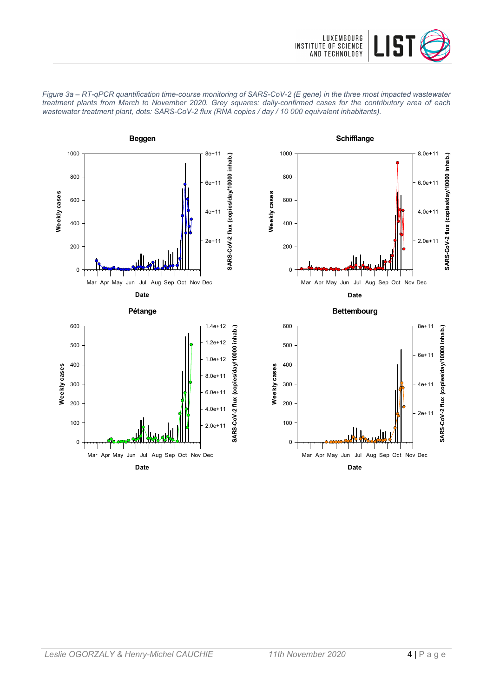









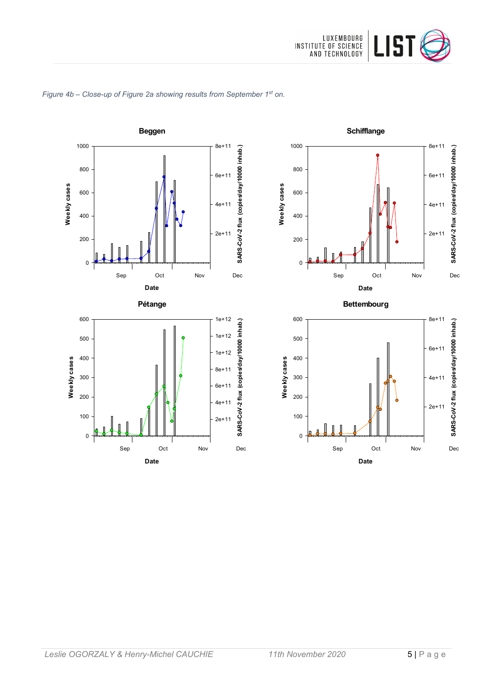







**Date**

0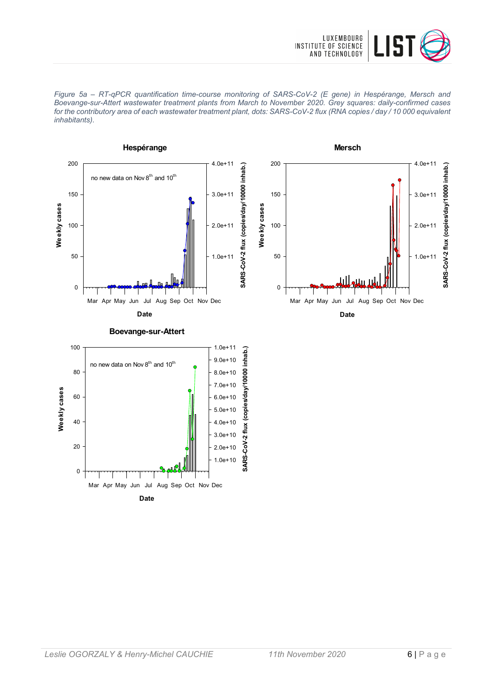



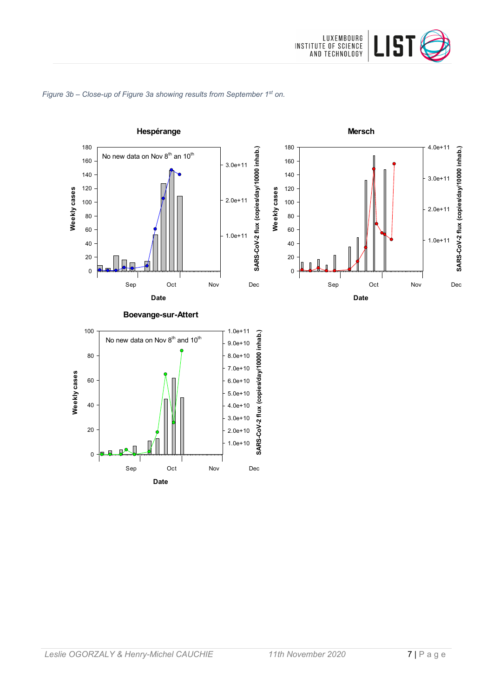

### *Figure 3b – Close-up of Figure 3a showing results from September 1st on.*

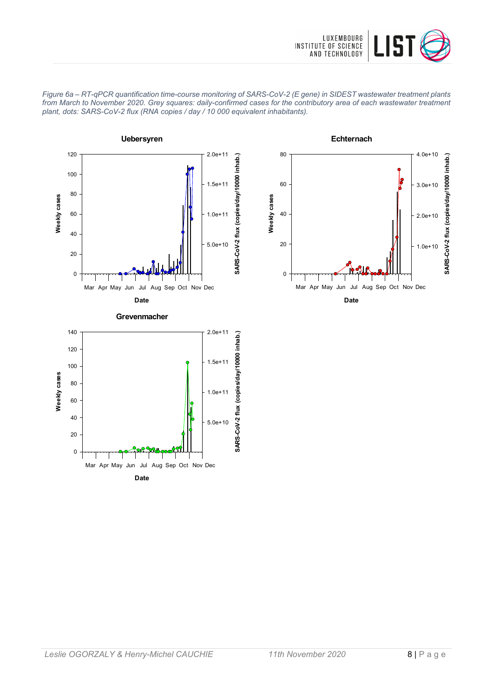









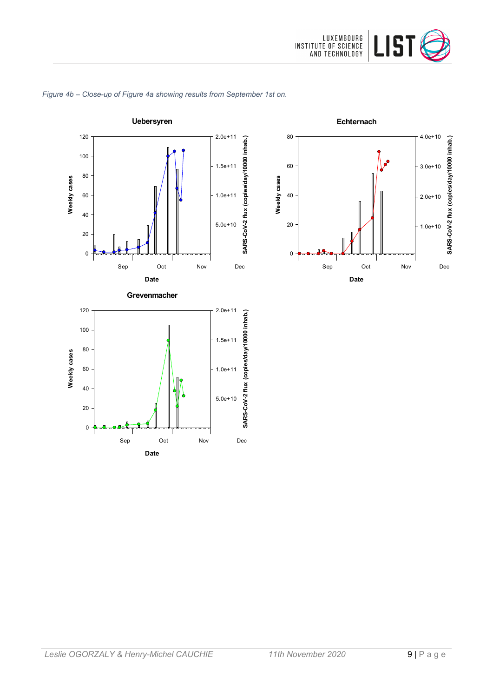





**Date**

0



### Leslie OGORZALY & Henry-Michel CAUCHIE 11th November 2020 9 | Page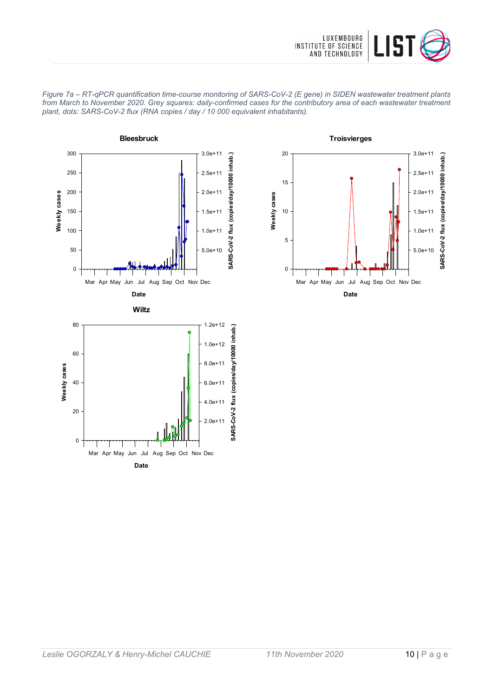





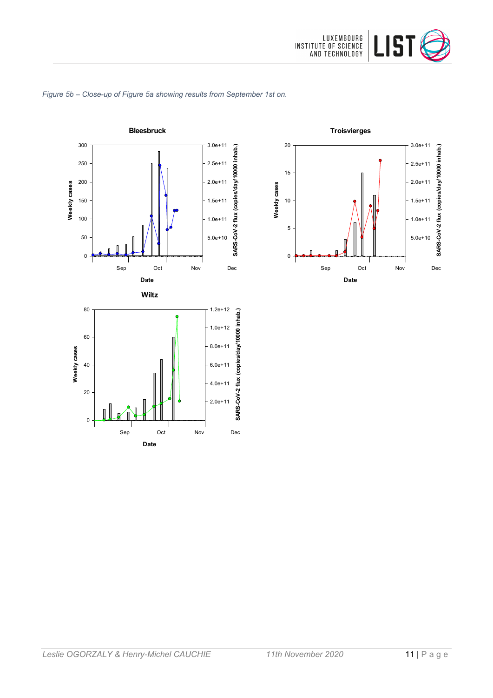



# *Figure 5b – Close-up of Figure 5a showing results from September 1st on.*

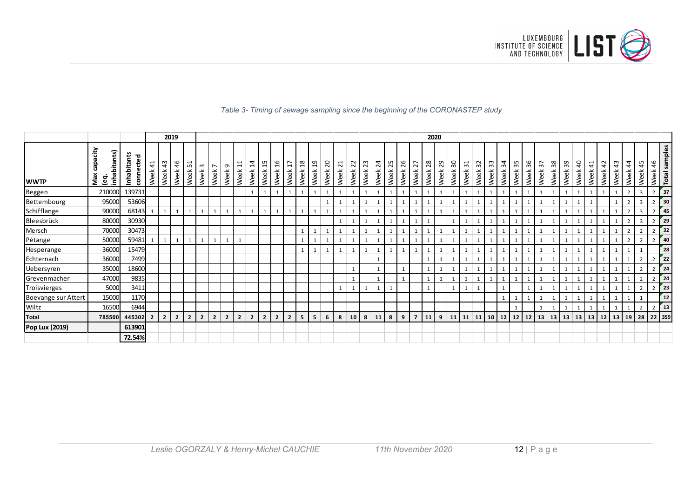

### *Table 3- Timing of sewage sampling since the beginning of the CORONASTEP study*

|                       |                                       |                                 |                        |                | 2019           |                |                      |                        |                |                                       |                       |                               |                       |                         |                        |                        |                                 |                         |                        |            |                         |                               |            |                | 2020         |              |              |                                            |            |              |            |            |            |                               |            |            |                        |                        |                     |                       |                         |                |                  |                   |
|-----------------------|---------------------------------------|---------------------------------|------------------------|----------------|----------------|----------------|----------------------|------------------------|----------------|---------------------------------------|-----------------------|-------------------------------|-----------------------|-------------------------|------------------------|------------------------|---------------------------------|-------------------------|------------------------|------------|-------------------------|-------------------------------|------------|----------------|--------------|--------------|--------------|--------------------------------------------|------------|--------------|------------|------------|------------|-------------------------------|------------|------------|------------------------|------------------------|---------------------|-----------------------|-------------------------|----------------|------------------|-------------------|
| <b>WWTP</b>           | capacity<br>inhabitants)<br>Max<br>ၜႍ | <b>Inhabitants</b><br>connected | $\overline{4}$<br>Week | 43<br>Week     | 46<br>Week     | ↽<br>L<br>Week | $\mathsf{m}$<br>Week | $\overline{ }$<br>Week | G<br>Week      | H<br>$\overline{\phantom{0}}$<br>Week | $\frac{1}{4}$<br>Week | LO.<br>$\overline{ }$<br>Week | $\frac{6}{1}$<br>Week | $\overline{17}$<br>Week | $\frac{8}{18}$<br>Week | $\overline{1}$<br>Week | $\overline{\mathbf{c}}$<br>Week | $\overline{21}$<br>Week | $\overline{2}$<br>Week | 23<br>Week | $\overline{24}$<br>Week | LO.<br>$\overline{N}$<br>Week | 26<br>Week | 27<br>Week     | 28<br>Week   | 29<br>Week   | 90<br>Week   | $\overline{\phantom{0}}$<br>$\sim$<br>Week | 32<br>Week | 33<br>Week   | 34<br>Week | 35<br>Week | 36<br>Week | $\overline{\epsilon}$<br>Week | 38<br>Week | 39<br>Week | $\overline{a}$<br>Week | $\overline{4}$<br>Week | $\sim$<br>4<br>Week | $\frac{3}{4}$<br>Week | $\frac{4}{4}$<br>Week   | 45<br>Week     | 46<br>Week       | samples<br>Total  |
| Beggen                | 210000                                | 139731                          |                        |                |                |                |                      |                        |                |                                       |                       | $\mathbf{1}$                  | 1                     |                         |                        |                        | $\mathbf{1}$                    |                         |                        |            | $\mathbf{1}$            |                               |            |                |              | $\mathbf{1}$ | $\mathbf{1}$ |                                            |            | $\mathbf{1}$ |            |            |            |                               |            |            |                        |                        |                     |                       | $\overline{2}$          | $\overline{3}$ | $2$ 37           |                   |
| Bettembourg           | 95000                                 | 53606                           |                        |                |                |                |                      |                        |                |                                       |                       |                               |                       |                         |                        |                        |                                 |                         |                        |            |                         |                               |            |                |              |              |              |                                            |            |              |            |            |            |                               |            |            |                        |                        |                     |                       |                         | $\overline{3}$ |                  | $\mathsf{r}_{30}$ |
| Schifflange           | 90000                                 | 68143                           |                        | 1              | 1              |                |                      |                        | $\mathbf{1}$   | 1                                     | $\mathbf{1}$          | $\mathbf{1}$                  | 1                     |                         |                        |                        | $\mathbf{1}$                    | 1                       | 1                      |            | $\overline{1}$          |                               |            |                |              | $\mathbf{1}$ | 1            |                                            |            | $\mathbf{1}$ |            |            |            |                               |            |            |                        |                        |                     |                       | $\overline{2}$          | $\overline{3}$ | $2 \mid 45$      |                   |
| Bleesbrück            | 80000                                 | 30930                           |                        |                |                |                |                      |                        |                |                                       |                       |                               |                       |                         |                        |                        |                                 | $\overline{1}$          |                        |            |                         |                               |            |                |              |              | $\mathbf{1}$ |                                            |            |              |            |            |            |                               |            |            |                        |                        |                     |                       | $\overline{2}$          | $\overline{3}$ | $\overline{2}$   | 129               |
| Mersch                | 70000                                 | 30473                           |                        |                |                |                |                      |                        |                |                                       |                       |                               |                       |                         |                        |                        |                                 |                         |                        |            |                         |                               |            |                |              |              | 1            |                                            |            |              |            |            |            |                               |            |            |                        |                        |                     |                       | $\overline{2}$          | $\overline{2}$ | $2^{\circ}$      | 32                |
| Pétange               | 50000                                 | 59481                           |                        | $\mathbf{1}$   | 1              |                |                      |                        | $\mathbf{1}$   | $\mathbf{1}$                          |                       |                               |                       |                         |                        |                        |                                 |                         |                        |            |                         |                               |            |                |              |              |              |                                            |            |              |            |            |            |                               |            |            |                        |                        |                     |                       | $\overline{\mathbf{z}}$ | $\overline{2}$ | $\overline{2}$   | 140               |
| Hesperange            | 36000                                 | 15479                           |                        |                |                |                |                      |                        |                |                                       |                       |                               |                       |                         |                        |                        |                                 |                         |                        |            |                         |                               |            |                |              |              | $\mathbf{1}$ |                                            |            |              |            |            |            |                               |            |            |                        |                        |                     |                       |                         |                |                  | 28                |
| Echternach            | 36000                                 | 7499                            |                        |                |                |                |                      |                        |                |                                       |                       |                               |                       |                         |                        |                        |                                 |                         |                        |            | $\overline{1}$          |                               |            |                | $\mathbf{1}$ | $\mathbf{1}$ |              |                                            |            |              |            |            |            |                               |            |            |                        |                        |                     |                       |                         | $\overline{2}$ | $2 \mid 22 \mid$ |                   |
| Uebersyren            | 35000                                 | 18600                           |                        |                |                |                |                      |                        |                |                                       |                       |                               |                       |                         |                        |                        |                                 |                         |                        |            |                         |                               |            |                |              |              |              |                                            |            |              |            |            |            |                               |            |            |                        |                        |                     |                       |                         | 2              | $\overline{2}$   | 24                |
| Grevenmacher          | 47000                                 | 9835                            |                        |                |                |                |                      |                        |                |                                       |                       |                               |                       |                         |                        |                        |                                 |                         | $\mathbf{1}$           |            | 1                       |                               |            |                | $\mathbf{1}$ | $\mathbf{1}$ | $\mathbf{1}$ |                                            |            | $\mathbf{1}$ |            |            |            |                               |            |            |                        |                        |                     | $\mathbf{1}$          |                         | $\overline{2}$ | $2 \mid 24$      |                   |
| Troisvierges          | 5000                                  | 3411                            |                        |                |                |                |                      |                        |                |                                       |                       |                               |                       |                         |                        |                        |                                 | $\mathbf{1}$            |                        |            | $\mathbf{1}$            |                               |            |                | $\mathbf{1}$ |              | $\mathbf{1}$ |                                            |            |              |            |            |            |                               |            |            |                        |                        |                     |                       |                         | $\overline{2}$ | $2$ 23           |                   |
| Boevange sur Attert   | 15000                                 | 1170                            |                        |                |                |                |                      |                        |                |                                       |                       |                               |                       |                         |                        |                        |                                 |                         |                        |            |                         |                               |            |                |              |              |              |                                            |            |              |            |            |            |                               |            |            |                        |                        |                     |                       |                         |                |                  | 12                |
| Wiltz                 | 16500                                 | 6944                            |                        |                |                |                |                      |                        |                |                                       |                       |                               |                       |                         |                        |                        |                                 |                         |                        |            |                         |                               |            |                |              |              |              |                                            |            |              |            |            |            |                               |            |            |                        |                        |                     |                       |                         | $\overline{2}$ | 2 <sup>1</sup>   | $\mathbf{r}_{13}$ |
| <b>Total</b>          | 785500                                | 445302                          | $\overline{2}$         | 2 <sup>1</sup> | $\overline{2}$ | $\overline{2}$ | $\overline{2}$       | $\overline{2}$         | $\overline{2}$ | $\overline{2}$                        | $\overline{2}$        | $\overline{2}$                | $\overline{2}$        | $\overline{2}$          | 5                      | 5                      | 6                               | 8                       | 10                     | 8          | 11                      | 8                             | 9          | $\overline{7}$ | 11           | 9            |              | $11 \mid 11 \mid 11$                       |            | 10           | 12         | 12         | 12         | 13                            | 13         |            | $13 \mid 13$           | 13                     | 12                  |                       | 13 19 28                |                | 22 359           |                   |
| <b>Pop Lux (2019)</b> |                                       | 613901                          |                        |                |                |                |                      |                        |                |                                       |                       |                               |                       |                         |                        |                        |                                 |                         |                        |            |                         |                               |            |                |              |              |              |                                            |            |              |            |            |            |                               |            |            |                        |                        |                     |                       |                         |                |                  |                   |
|                       |                                       | 72.54%                          |                        |                |                |                |                      |                        |                |                                       |                       |                               |                       |                         |                        |                        |                                 |                         |                        |            |                         |                               |            |                |              |              |              |                                            |            |              |            |            |            |                               |            |            |                        |                        |                     |                       |                         |                |                  |                   |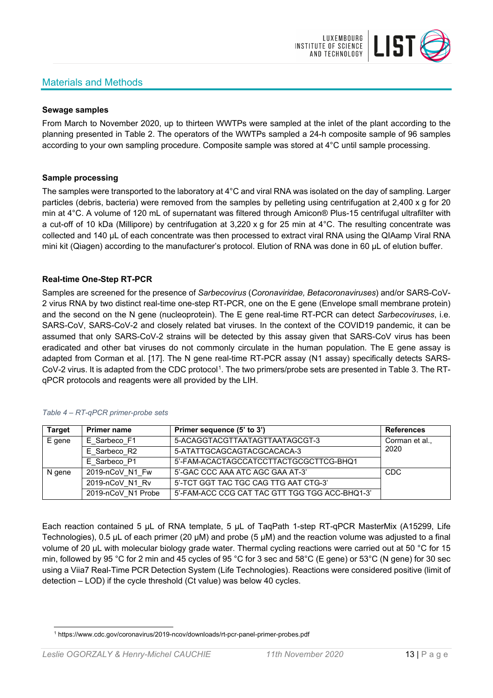# Materials and Methods



### **Sewage samples**

From March to November 2020, up to thirteen WWTPs were sampled at the inlet of the plant according to the planning presented in Table 2. The operators of the WWTPs sampled a 24-h composite sample of 96 samples according to your own sampling procedure. Composite sample was stored at 4°C until sample processing.

### **Sample processing**

The samples were transported to the laboratory at 4°C and viral RNA was isolated on the day of sampling. Larger particles (debris, bacteria) were removed from the samples by pelleting using centrifugation at 2,400 x g for 20 min at 4°C. A volume of 120 mL of supernatant was filtered through Amicon® Plus-15 centrifugal ultrafilter with a cut-off of 10 kDa (Millipore) by centrifugation at 3,220 x g for 25 min at 4°C. The resulting concentrate was collected and 140 µL of each concentrate was then processed to extract viral RNA using the QIAamp Viral RNA mini kit (Qiagen) according to the manufacturer's protocol. Elution of RNA was done in 60 μL of elution buffer.

### **Real-time One-Step RT-PCR**

Samples are screened for the presence of *Sarbecovirus* (*Coronaviridae, Betacoronaviruses*) and/or SARS-CoV-2 virus RNA by two distinct real-time one-step RT-PCR, one on the E gene (Envelope small membrane protein) and the second on the N gene (nucleoprotein). The E gene real-time RT-PCR can detect *Sarbecoviruses*, i.e. SARS-CoV, SARS-CoV-2 and closely related bat viruses. In the context of the COVID19 pandemic, it can be assumed that only SARS-CoV-2 strains will be detected by this assay given that SARS-CoV virus has been eradicated and other bat viruses do not commonly circulate in the human population. The E gene assay is adapted from Corman et al. [17]. The N gene real-time RT-PCR assay (N1 assay) specifically detects SARS-CoV-2 virus. It is adapted from the CDC protocol[1](#page-12-0). The two primers/probe sets are presented in Table 3. The RTqPCR protocols and reagents were all provided by the LIH.

| <b>Target</b> | <b>Primer name</b> | Primer sequence (5' to 3')                     | <b>References</b> |
|---------------|--------------------|------------------------------------------------|-------------------|
| E gene        | E Sarbeco F1       | 5-ACAGGTACGTTAATAGTTAATAGCGT-3                 | Corman et al.,    |
|               | E Sarbeco R2       | 5-ATATTGCAGCAGTACGCACACA-3                     | 2020              |
|               | E Sarbeco P1       | 5'-FAM-ACACTAGCCATCCTTACTGCGCTTCG-BHQ1         |                   |
| N gene        | 2019-nCoV N1 Fw    | 5'-GAC CCC AAA ATC AGC GAA AT-3'               | <b>CDC</b>        |
|               | 2019-nCoV N1 Rv    | 5'-TCT GGT TAC TGC CAG TTG AAT CTG-3'          |                   |
|               | 2019-nCoV N1 Probe | 5'-FAM-ACC CCG CAT TAC GTT TGG TGG ACC-BHQ1-3' |                   |

#### *Table 4 – RT-qPCR primer-probe sets*

Each reaction contained 5 μL of RNA template, 5 μL of TaqPath 1-step RT-qPCR MasterMix (A15299, Life Technologies), 0.5 µL of each primer (20 µM) and probe (5 µM) and the reaction volume was adjusted to a final volume of 20 μL with molecular biology grade water. Thermal cycling reactions were carried out at 50 °C for 15 min, followed by 95 °C for 2 min and 45 cycles of 95 °C for 3 sec and 58°C (E gene) or 53°C (N gene) for 30 sec using a Viia7 Real-Time PCR Detection System (Life Technologies). Reactions were considered positive (limit of detection – LOD) if the cycle threshold (Ct value) was below 40 cycles.

<span id="page-12-0"></span><sup>1</sup> https://www.cdc.gov/coronavirus/2019-ncov/downloads/rt-pcr-panel-primer-probes.pdf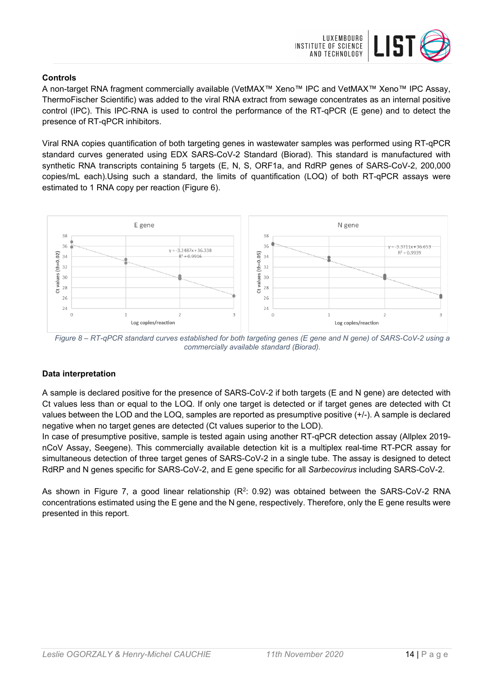

## **Controls**

A non-target RNA fragment commercially available (VetMAX™ Xeno™ IPC and VetMAX™ Xeno™ IPC Assay, ThermoFischer Scientific) was added to the viral RNA extract from sewage concentrates as an internal positive control (IPC). This IPC-RNA is used to control the performance of the RT-qPCR (E gene) and to detect the presence of RT-qPCR inhibitors.

Viral RNA copies quantification of both targeting genes in wastewater samples was performed using RT-qPCR standard curves generated using EDX SARS-CoV-2 Standard (Biorad). This standard is manufactured with synthetic RNA transcripts containing 5 targets (E, N, S, ORF1a, and RdRP genes of SARS-CoV-2, 200,000 copies/mL each).Using such a standard, the limits of quantification (LOQ) of both RT-qPCR assays were estimated to 1 RNA copy per reaction (Figure 6).



*Figure 8 – RT-qPCR standard curves established for both targeting genes (E gene and N gene) of SARS-CoV-2 using a commercially available standard (Biorad).*

# **Data interpretation**

A sample is declared positive for the presence of SARS-CoV-2 if both targets (E and N gene) are detected with Ct values less than or equal to the LOQ. If only one target is detected or if target genes are detected with Ct values between the LOD and the LOQ, samples are reported as presumptive positive (+/-). A sample is declared negative when no target genes are detected (Ct values superior to the LOD).

In case of presumptive positive, sample is tested again using another RT-qPCR detection assay (Allplex 2019 nCoV Assay, Seegene). This commercially available detection kit is a multiplex real-time RT-PCR assay for simultaneous detection of three target genes of SARS-CoV-2 in a single tube. The assay is designed to detect RdRP and N genes specific for SARS-CoV-2, and E gene specific for all *Sarbecovirus* including SARS-CoV-2.

As shown in Figure 7, a good linear relationship  $(R^2: 0.92)$  was obtained between the SARS-CoV-2 RNA concentrations estimated using the E gene and the N gene, respectively. Therefore, only the E gene results were presented in this report.